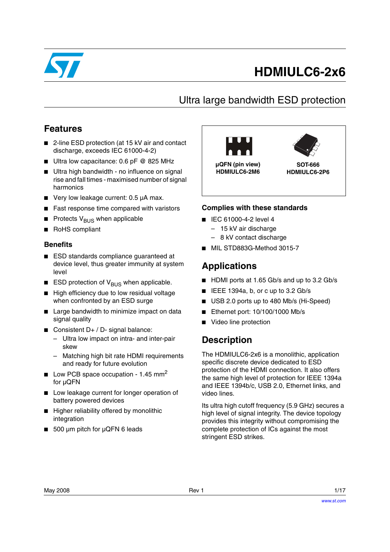

# **HDMIULC6-2x6**

# Ultra large bandwidth ESD protection

## **Features**

- 2-line ESD protection (at 15 kV air and contact discharge, exceeds IEC 61000-4-2)
- Ultra low capacitance: 0.6 pF @ 825 MHz
- Ultra high bandwidth no influence on signal rise and fall times - maximised number of signal harmonics
- Very low leakage current: 0.5 µA max.
- Fast response time compared with varistors
- Protects  $V_{BUS}$  when applicable
- RoHS compliant

#### **Benefits**

- ESD standards compliance guaranteed at device level, thus greater immunity at system level
- $\blacksquare$  ESD protection of V<sub>BUS</sub> when applicable.
- High efficiency due to low residual voltage when confronted by an ESD surge
- Large bandwidth to minimize impact on data signal quality
- Consistent D+ / D- signal balance:
	- Ultra low impact on intra- and inter-pair skew
	- Matching high bit rate HDMI requirements and ready for future evolution
- **■** Low PCB space occupation 1.45 mm<sup>2</sup> for µQFN
- Low leakage current for longer operation of battery powered devices
- Higher reliability offered by monolithic integration
- 500 µm pitch for µQFN 6 leads



#### **Complies with these standards**

- IEC 61000-4-2 level 4
	- 15 kV air discharge
	- 8 kV contact discharge
- MIL STD883G-Method 3015-7

## **Applications**

- HDMI ports at 1.65 Gb/s and up to 3.2 Gb/s
- IEEE 1394a, b, or c up to 3.2 Gb/s
- USB 2.0 ports up to 480 Mb/s (Hi-Speed)
- Ethernet port: 10/100/1000 Mb/s
- Video line protection

## **Description**

The HDMIULC6-2x6 is a monolithic, application specific discrete device dedicated to ESD protection of the HDMI connection. It also offers the same high level of protection for IEEE 1394a and IEEE 1394b/c, USB 2.0, Ethernet links, and video lines.

Its ultra high cutoff frequency (5.9 GHz) secures a high level of signal integrity. The device topology provides this integrity without compromising the complete protection of ICs against the most stringent ESD strikes.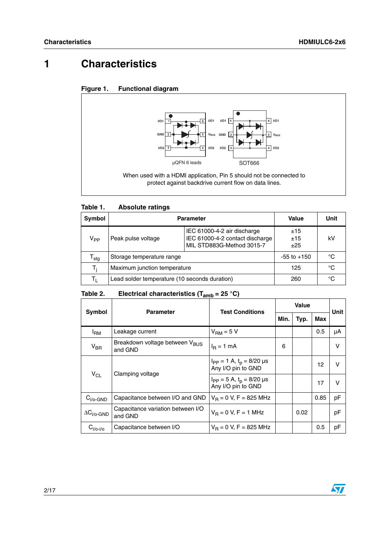# **1 Characteristics**





#### Table 1. **Absolute ratings**

| <b>Symbol</b>               | <b>Parameter</b>                              |                                                                                             | Value             | Unit |
|-----------------------------|-----------------------------------------------|---------------------------------------------------------------------------------------------|-------------------|------|
| V <sub>PP</sub>             | Peak pulse voltage                            | IEC 61000-4-2 air discharge<br>IEC 61000-4-2 contact discharge<br>MIL STD883G-Method 3015-7 | ±15<br>±15<br>±25 | kV   |
| $\mathsf{r}_{\mathsf{stg}}$ | Storage temperature range                     |                                                                                             | $-55$ to $+150$   | °C   |
| T:                          | Maximum junction temperature                  |                                                                                             | 125               | °C   |
| Tı.                         | Lead solder temperature (10 seconds duration) |                                                                                             | 260               | °C   |

#### Table 2. **Electrical characteristics (T<sub>amb</sub> = 25 °C)**

| Symbol                      | <b>Parameter</b>                                      | <b>Test Conditions</b>                                    | <b>Value</b> |      |      | Unit |
|-----------------------------|-------------------------------------------------------|-----------------------------------------------------------|--------------|------|------|------|
|                             |                                                       |                                                           | Min.         | Typ. | Max  |      |
| <sup>I</sup> RM             | Leakage current                                       | $V_{\text{RM}} = 5 V$                                     |              |      | 0.5  | μA   |
| $V_{\text{BR}}$             | Breakdown voltage between V <sub>BUS</sub><br>and GND | $I_R = 1$ mA                                              | 6            |      |      | v    |
| $V_{CL}$                    | Clamping voltage                                      | $I_{PP} = 1$ A, $t_p = 8/20$ µs<br>Any I/O pin to GND     |              |      | 12   | v    |
|                             |                                                       | $I_{PP} = 5 A$ , $t_p = 8/20 \mu s$<br>Any I/O pin to GND |              |      | 17   | v    |
| $C_{i/O}$ -GND              | Capacitance between I/O and GND                       | $V_B = 0 V, F = 825 MHz$                                  |              |      | 0.85 | рF   |
| $\Delta C_{i/o\text{-GND}}$ | Capacitance variation between I/O<br>and GND          | $V_B = 0 V, F = 1 MHz$                                    |              | 0.02 |      | pF   |
| $C_{i/o-i/o}$               | Capacitance between I/O                               | $V_B = 0 V$ , F = 825 MHz                                 |              |      | 0.5  | рF   |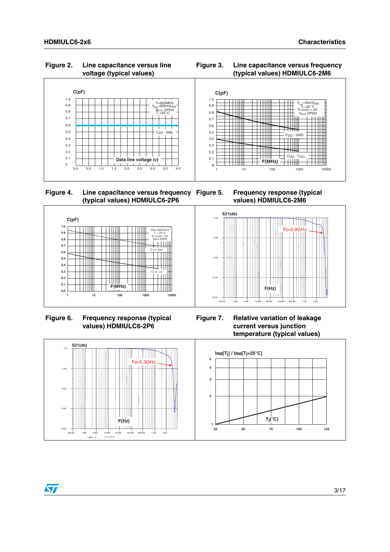#### **Figure 2. Line capacitance versus line voltage (typical values)**

#### **Figure 3. Line capacitance versus frequency (typical values) HDMIULC6-2M6**



 **Figure 4. Line capacitance versus frequency (typical values) HDMIULC6-2P6**

**Frequency response (typical values) HDMIULC6-2M6**



**Figure 6. Frequency response (typical values) HDMIULC6-2P6**



**Figure 7. Relative variation of leakage current versus junction temperature (typical values)**



#### $\sqrt{}$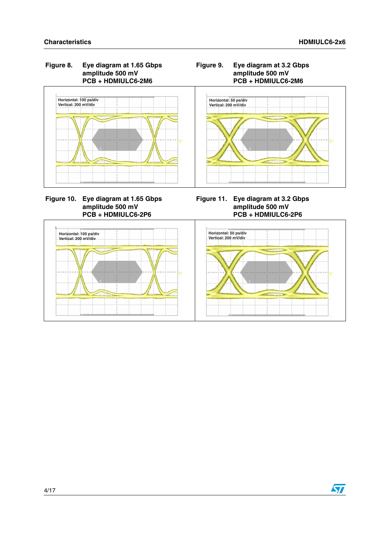

 **Figure 10. Eye diagram at 1.65 Gbps amplitude 500 mV PCB + HDMIULC6-2P6**

**Figure 11. Eye diagram at 3.2 Gbps amplitude 500 mV PCB + HDMIULC6-2P6**



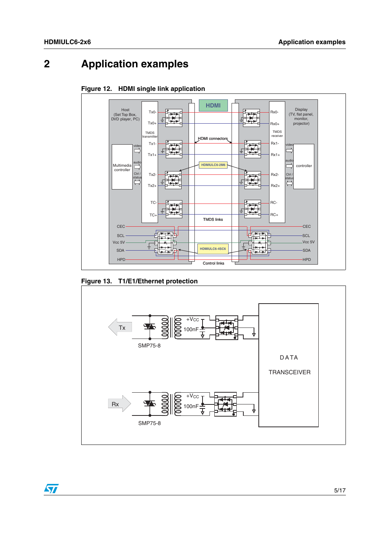# **2 Application examples**



**Figure 12. HDMI single link application**

**Figure 13. T1/E1/Ethernet protection**



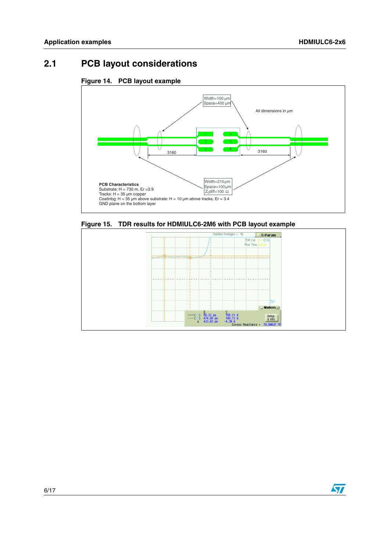# **2.1 PCB layout considerations**





**Figure 15. TDR results for HDMIULC6-2M6 with PCB layout example**

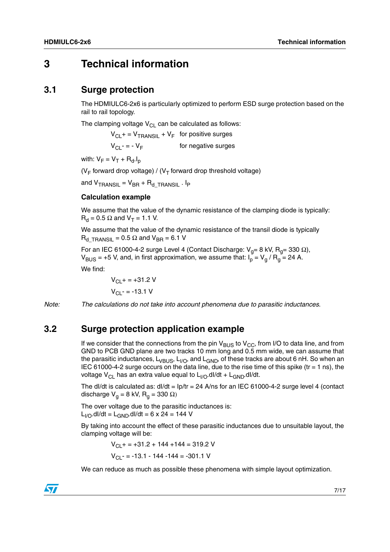## **3 Technical information**

#### **3.1 Surge protection**

The HDMIULC6-2x6 is particularly optimized to perform ESD surge protection based on the rail to rail topology.

The clamping voltage  $V_{CL}$  can be calculated as follows:

 $V_{\text{CI}}$  + =  $V_{\text{TRANSII}}$  +  $V_{\text{F}}$  for positive surges

 $V_{\text{Cl}}$  - = -  $V_{\text{F}}$  for negative surges

with:  $V_F = V_T + R_d.I_p$ 

( $V_F$  forward drop voltage) / ( $V_T$  forward drop threshold voltage)

and  $V_{\text{TRANSIL}} = V_{\text{BR}} + R_{\text{d}}_{\text{TRANSIL}}$ . Ip

#### **Calculation example**

We assume that the value of the dynamic resistance of the clamping diode is typically:  $R_d = 0.5 \Omega$  and  $V_T = 1.1 V$ .

We assume that the value of the dynamic resistance of the transil diode is typically  $R_d$  TRANSIL = 0.5  $\Omega$  and V<sub>BR</sub> = 6.1 V

For an IEC 61000-4-2 surge Level 4 (Contact Discharge: V<sub>g</sub>= 8 kV, R<sub>g</sub>= 330 Ω),  $V_{BUS}$  = +5 V, and, in first approximation, we assume that:  $I_p = V_q / R_q = 24$  A.

We find:

 $V_{C1}$  + = +31.2 V  $V_{\text{Cl}}$  - = -13.1 V

*Note: The calculations do not take into account phenomena due to parasitic inductances.*

### **3.2 Surge protection application example**

If we consider that the connections from the pin  $V_{BUS}$  to  $V_{CC}$ , from I/O to data line, and from GND to PCB GND plane are two tracks 10 mm long and 0.5 mm wide, we can assume that the parasitic inductances,  $L_{VBUS}$ ,  $L_{I/O}$ , and  $L_{GND}$ , of these tracks are about 6 nH. So when an IEC 61000-4-2 surge occurs on the data line, due to the rise time of this spike (tr = 1 ns), the voltage  $V_{\text{Cl}}$  has an extra value equal to  $L_{\text{I/O}}$ .dl/dt +  $L_{\text{GND}}$ .dl/dt.

The dI/dt is calculated as:  $dI/dt = Ip/tr = 24$  A/ns for an IEC 61000-4-2 surge level 4 (contact discharge  $V_q = 8$  kV,  $R_q = 330 \Omega$ )

The over voltage due to the parasitic inductances is:  $L_{I/O}$ .dl/dt =  $L_{GND}$ .dl/dt = 6 x 24 = 144 V

By taking into account the effect of these parasitic inductances due to unsuitable layout, the clamping voltage will be:

> $V_{\text{Cl}}$  + = +31.2 + 144 +144 = 319.2 V  $V_{\text{Cl}}$  - = -13.1 - 144 -144 = -301.1 V

We can reduce as much as possible these phenomena with simple layout optimization.

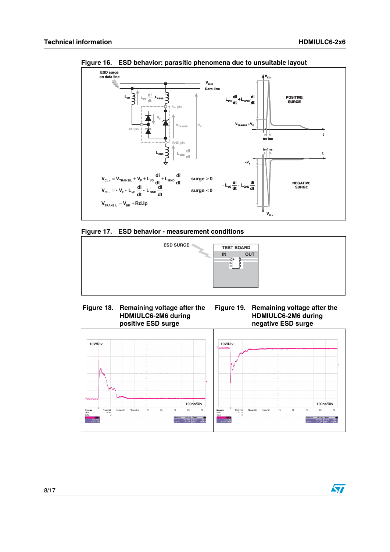

**Figure 16. ESD behavior: parasitic phenomena due to unsuitable layout**







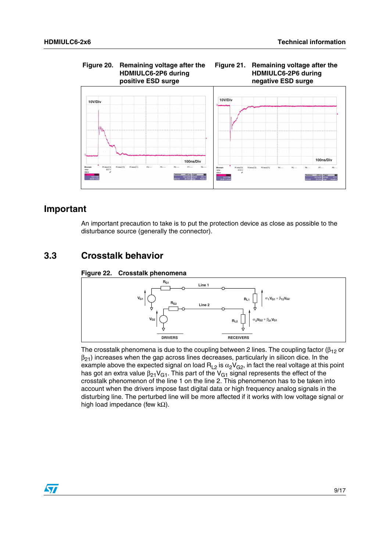

### **Important**

An important precaution to take is to put the protection device as close as possible to the disturbance source (generally the connector).

## **3.3 Crosstalk behavior**

#### **Figure 22. Crosstalk phenomena**



The crosstalk phenomena is due to the coupling between 2 lines. The coupling factor ( $\beta_{12}$  or  $\beta_{21}$ ) increases when the gap across lines decreases, particularly in silicon dice. In the example above the expected signal on load  $R_{L2}$  is  $\alpha_2V_{G2}$ , in fact the real voltage at this point has got an extra value  $\beta_{21}V_{G1}$ . This part of the  $V_{G1}$  signal represents the effect of the crosstalk phenomenon of the line 1 on the line 2. This phenomenon has to be taken into account when the drivers impose fast digital data or high frequency analog signals in the disturbing line. The perturbed line will be more affected if it works with low voltage signal or high load impedance (few kΩ).

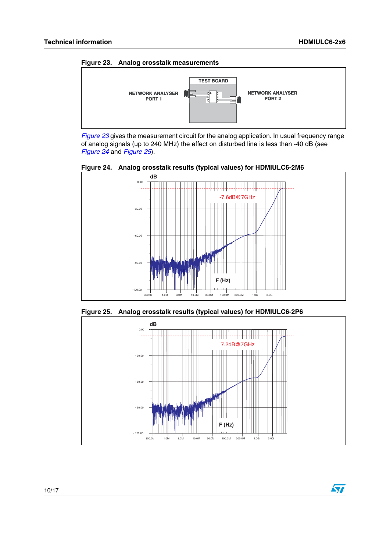57

<span id="page-9-1"></span>

*[Figure 23](#page-9-1)* gives the measurement circuit for the analog application. In usual frequency range of analog signals (up to 240 MHz) the effect on disturbed line is less than -40 dB (see *[Figure 24](#page-9-2)* and *[Figure 25](#page-9-0)*).

<span id="page-9-2"></span>



<span id="page-9-0"></span>**Figure 25. Analog crosstalk results (typical values) for HDMIULC6-2P6**

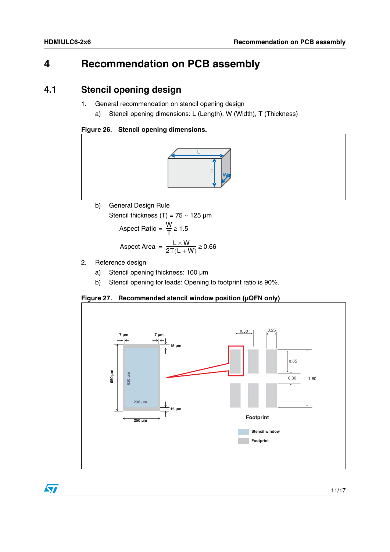$\bm{\varpi}$ 

# **4 Recommendation on PCB assembly**

### **4.1 Stencil opening design**

- 1. General recommendation on stencil opening design
	- a) Stencil opening dimensions: L (Length), W (Width), T (Thickness)

#### **Figure 26. Stencil opening dimensions.**



b) General Design Rule

Stencil thickness  $(T) = 75 - 125 \mu m$ 

$$
Aspect Ratio = \frac{W}{T} \ge 1.5
$$

$$
Aspect Area = \frac{L \times W}{2T(L+W)} \ge 0.66
$$

- 2. Reference design
	- a) Stencil opening thickness: 100 µm
	- b) Stencil opening for leads: Opening to footprint ratio is 90%.

#### **Figure 27. Recommended stencil window position (µQFN only)**



11/17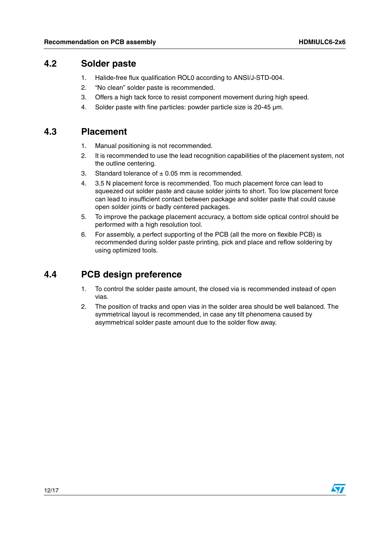### **4.2 Solder paste**

- 1. Halide-free flux qualification ROL0 according to ANSI/J-STD-004.
- 2. "No clean" solder paste is recommended.
- 3. Offers a high tack force to resist component movement during high speed.
- 4. Solder paste with fine particles: powder particle size is 20-45 µm.

### **4.3 Placement**

- 1. Manual positioning is not recommended.
- 2. It is recommended to use the lead recognition capabilities of the placement system, not the outline centering.
- 3. Standard tolerance of  $\pm$  0.05 mm is recommended.
- 4. 3.5 N placement force is recommended. Too much placement force can lead to squeezed out solder paste and cause solder joints to short. Too low placement force can lead to insufficient contact between package and solder paste that could cause open solder joints or badly centered packages.
- 5. To improve the package placement accuracy, a bottom side optical control should be performed with a high resolution tool.
- 6. For assembly, a perfect supporting of the PCB (all the more on flexible PCB) is recommended during solder paste printing, pick and place and reflow soldering by using optimized tools.

## **4.4 PCB design preference**

- 1. To control the solder paste amount, the closed via is recommended instead of open vias.
- 2. The position of tracks and open vias in the solder area should be well balanced. The symmetrical layout is recommended, in case any tilt phenomena caused by asymmetrical solder paste amount due to the solder flow away.

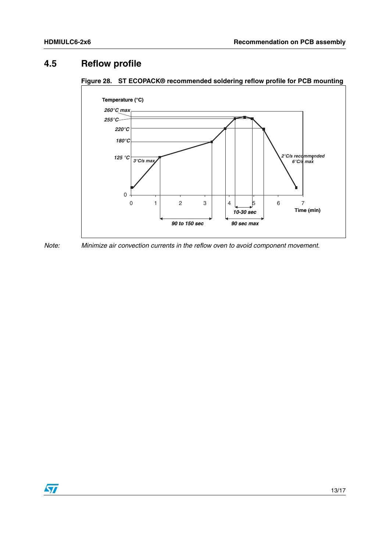## **4.5 Reflow profile**



**Figure 28. ST ECOPACK® recommended soldering reflow profile for PCB mounting**



*Note: Minimize air convection currents in the reflow oven to avoid component movement.*

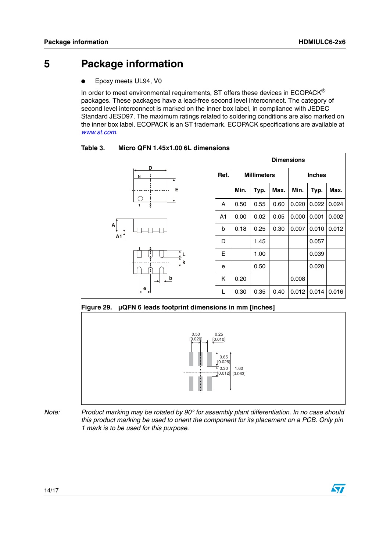# **5 Package information**

Epoxy meets UL94, V0

In order to meet environmental requirements, ST offers these devices in ECOPACK® packages. These packages have a lead-free second level interconnect. The category of second level interconnect is marked on the inner box label, in compliance with JEDEC Standard JESD97. The maximum ratings related to soldering conditions are also marked on the inner box label. ECOPACK is an ST trademark. ECOPACK specifications are available at *[www.st.com](http://www.st.com)*.

Table 3. **Table 3. Micro QFN 1.45x1.00 6L dimensions**



**Figure 29. µQFN 6 leads footprint dimensions in mm [inches]**



*Note: Product marking may be rotated by 90° for assembly plant differentiation. In no case should this product marking be used to orient the component for its placement on a PCB. Only pin 1 mark is to be used for this purpose.*

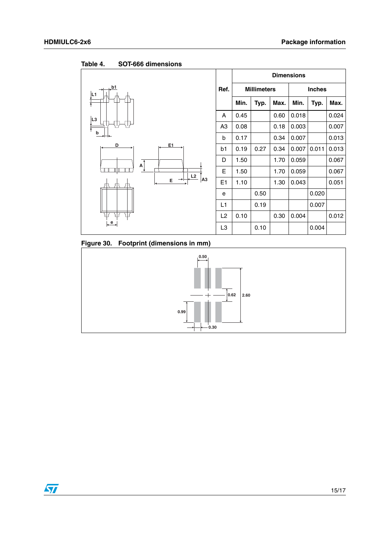

Table 4. **SOT-666 dimensions** 

**Figure 30. Footprint (dimensions in mm)**

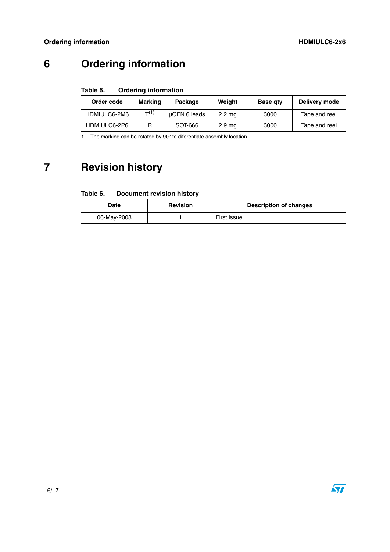# **6 Ordering information**

#### Table 5. **Ordering information**

| Order code   | <b>Marking</b> | Package      | Weight            | <b>Base gty</b> | Delivery mode |
|--------------|----------------|--------------|-------------------|-----------------|---------------|
| HDMIULC6-2M6 | T(1)           | uQFN 6 leads | $2.2 \text{ mg}$  | 3000            | Tape and reel |
| HDMIULC6-2P6 |                | SOT-666      | 2.9 <sub>mg</sub> | 3000            | Tape and reel |

1. The marking can be rotated by 90° to diferentiate assembly location

# **7 Revision history**

#### Table 6. **Document revision history**

| Date        | <b>Revision</b> | <b>Description of changes</b> |
|-------------|-----------------|-------------------------------|
| 06-May-2008 |                 | First issue.                  |